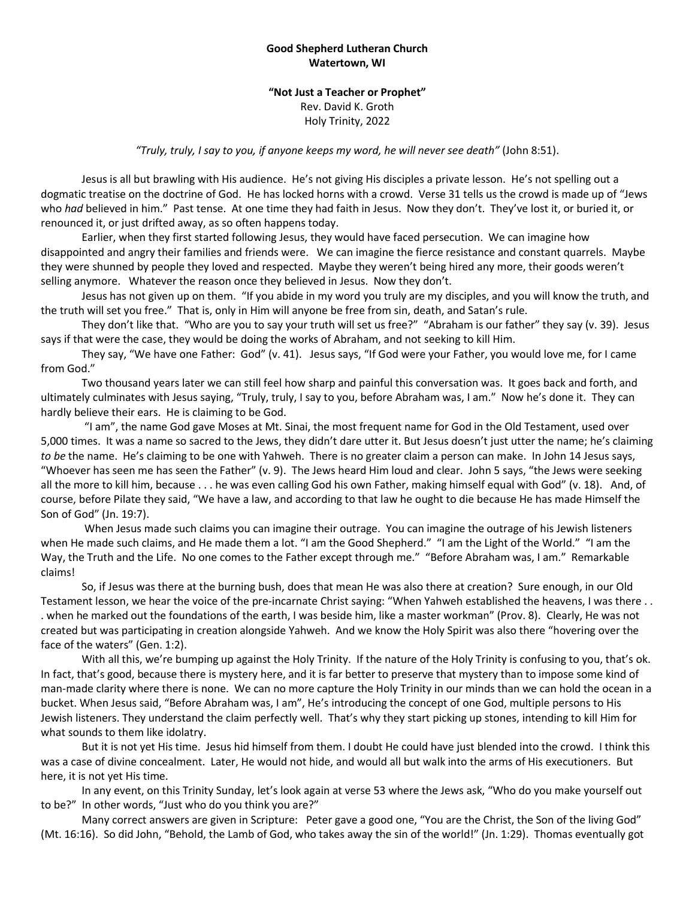## **Good Shepherd Lutheran Church Watertown, WI**

**"Not Just a Teacher or Prophet"** Rev. David K. Groth Holy Trinity, 2022

*"Truly, truly, I say to you, if anyone keeps my word, he will never see death"* (John 8:51).

Jesus is all but brawling with His audience. He's not giving His disciples a private lesson. He's not spelling out a dogmatic treatise on the doctrine of God. He has locked horns with a crowd. Verse 31 tells us the crowd is made up of "Jews who *had* believed in him." Past tense. At one time they had faith in Jesus. Now they don't. They've lost it, or buried it, or renounced it, or just drifted away, as so often happens today.

Earlier, when they first started following Jesus, they would have faced persecution. We can imagine how disappointed and angry their families and friends were. We can imagine the fierce resistance and constant quarrels. Maybe they were shunned by people they loved and respected. Maybe they weren't being hired any more, their goods weren't selling anymore. Whatever the reason once they believed in Jesus. Now they don't.

Jesus has not given up on them. "If you abide in my word you truly are my disciples, and you will know the truth, and the truth will set you free." That is, only in Him will anyone be free from sin, death, and Satan's rule.

They don't like that. "Who are you to say your truth will set us free?" "Abraham is our father" they say (v. 39). Jesus says if that were the case, they would be doing the works of Abraham, and not seeking to kill Him.

They say, "We have one Father: God" (v. 41). Jesus says, "If God were your Father, you would love me, for I came from God."

Two thousand years later we can still feel how sharp and painful this conversation was. It goes back and forth, and ultimately culminates with Jesus saying, "Truly, truly, I say to you, before Abraham was, I am." Now he's done it. They can hardly believe their ears. He is claiming to be God.

"I am", the name God gave Moses at Mt. Sinai, the most frequent name for God in the Old Testament, used over 5,000 times. It was a name so sacred to the Jews, they didn't dare utter it. But Jesus doesn't just utter the name; he's claiming *to be* the name. He's claiming to be one with Yahweh. There is no greater claim a person can make. In John 14 Jesus says, "Whoever has seen me has seen the Father" (v. 9). The Jews heard Him loud and clear. John 5 says, "the Jews were seeking all the more to kill him, because . . . he was even calling God his own Father, making himself equal with God" (v. 18). And, of course, before Pilate they said, "We have a law, and according to that law he ought to die because He has made Himself the Son of God" (Jn. 19:7).

When Jesus made such claims you can imagine their outrage. You can imagine the outrage of his Jewish listeners when He made such claims, and He made them a lot. "I am the Good Shepherd." "I am the Light of the World." "I am the Way, the Truth and the Life. No one comes to the Father except through me." "Before Abraham was, I am." Remarkable claims!

So, if Jesus was there at the burning bush, does that mean He was also there at creation? Sure enough, in our Old Testament lesson, we hear the voice of the pre-incarnate Christ saying: "When Yahweh established the heavens, I was there . . . when he marked out the foundations of the earth, I was beside him, like a master workman" (Prov. 8). Clearly, He was not created but was participating in creation alongside Yahweh. And we know the Holy Spirit was also there "hovering over the face of the waters" (Gen. 1:2).

With all this, we're bumping up against the Holy Trinity. If the nature of the Holy Trinity is confusing to you, that's ok. In fact, that's good, because there is mystery here, and it is far better to preserve that mystery than to impose some kind of man-made clarity where there is none. We can no more capture the Holy Trinity in our minds than we can hold the ocean in a bucket. When Jesus said, "Before Abraham was, I am", He's introducing the concept of one God, multiple persons to His Jewish listeners. They understand the claim perfectly well. That's why they start picking up stones, intending to kill Him for what sounds to them like idolatry.

But it is not yet His time. Jesus hid himself from them. I doubt He could have just blended into the crowd. I think this was a case of divine concealment. Later, He would not hide, and would all but walk into the arms of His executioners. But here, it is not yet His time.

In any event, on this Trinity Sunday, let's look again at verse 53 where the Jews ask, "Who do you make yourself out to be?" In other words, "Just who do you think you are?"

Many correct answers are given in Scripture: Peter gave a good one, "You are the Christ, the Son of the living God" (Mt. 16:16). So did John, "Behold, the Lamb of God, who takes away the sin of the world!" (Jn. 1:29). Thomas eventually got